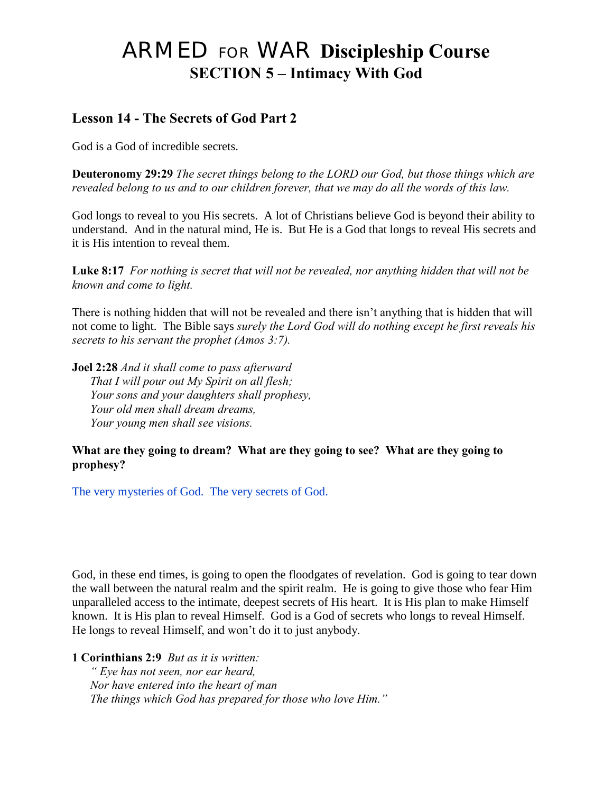# ARMED FOR WAR **Discipleship Course SECTION 5 – Intimacy With God**

# **Lesson 14 - The Secrets of God Part 2**

God is a God of incredible secrets.

**Deuteronomy 29:29** *The secret things belong to the LORD our God, but those things which are revealed belong to us and to our children forever, that we may do all the words of this law.*

God longs to reveal to you His secrets. A lot of Christians believe God is beyond their ability to understand. And in the natural mind, He is. But He is a God that longs to reveal His secrets and it is His intention to reveal them.

**Luke 8:17** *For nothing is secret that will not be revealed, nor anything hidden that will not be known and come to light.* 

There is nothing hidden that will not be revealed and there isn't anything that is hidden that will not come to light. The Bible says *surely the Lord God will do nothing except he first reveals his secrets to his servant the prophet (Amos 3:7).* 

**Joel 2:28** *And it shall come to pass afterward That I will pour out My Spirit on all flesh; Your sons and your daughters shall prophesy, Your old men shall dream dreams, Your young men shall see visions.* 

#### **What are they going to dream? What are they going to see? What are they going to prophesy?**

The very mysteries of God. The very secrets of God.

God, in these end times, is going to open the floodgates of revelation. God is going to tear down the wall between the natural realm and the spirit realm. He is going to give those who fear Him unparalleled access to the intimate, deepest secrets of His heart. It is His plan to make Himself known. It is His plan to reveal Himself. God is a God of secrets who longs to reveal Himself. He longs to reveal Himself, and won't do it to just anybody.

**1 Corinthians 2:9** *But as it is written:* 

 *" Eye has not seen, nor ear heard, Nor have entered into the heart of man The things which God has prepared for those who love Him."*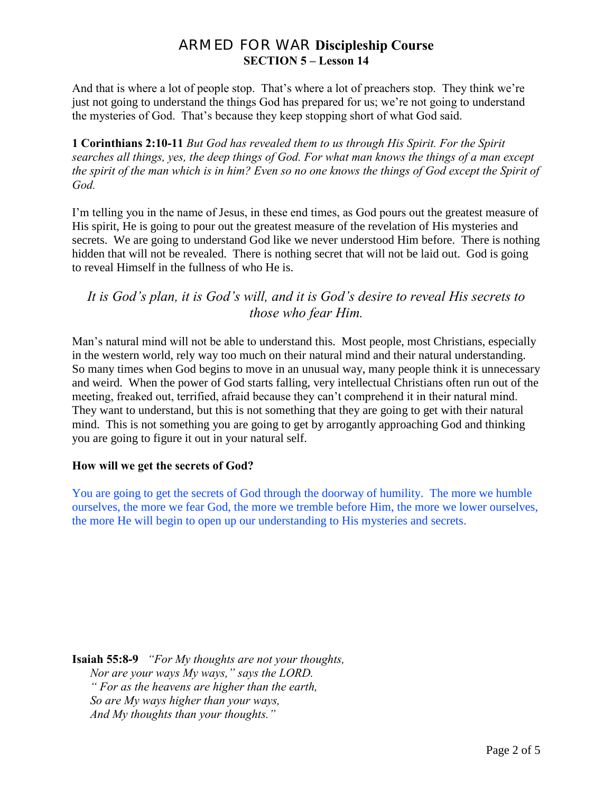And that is where a lot of people stop. That's where a lot of preachers stop. They think we're just not going to understand the things God has prepared for us; we're not going to understand the mysteries of God. That's because they keep stopping short of what God said.

**1 Corinthians 2:10-11** *But God has revealed them to us through His Spirit. For the Spirit searches all things, yes, the deep things of God. For what man knows the things of a man except the spirit of the man which is in him? Even so no one knows the things of God except the Spirit of God.* 

I'm telling you in the name of Jesus, in these end times, as God pours out the greatest measure of His spirit, He is going to pour out the greatest measure of the revelation of His mysteries and secrets. We are going to understand God like we never understood Him before. There is nothing hidden that will not be revealed. There is nothing secret that will not be laid out. God is going to reveal Himself in the fullness of who He is.

## *It is God's plan, it is God's will, and it is God's desire to reveal His secrets to those who fear Him.*

Man's natural mind will not be able to understand this. Most people, most Christians, especially in the western world, rely way too much on their natural mind and their natural understanding. So many times when God begins to move in an unusual way, many people think it is unnecessary and weird. When the power of God starts falling, very intellectual Christians often run out of the meeting, freaked out, terrified, afraid because they can't comprehend it in their natural mind. They want to understand, but this is not something that they are going to get with their natural mind. This is not something you are going to get by arrogantly approaching God and thinking you are going to figure it out in your natural self.

#### **How will we get the secrets of God?**

You are going to get the secrets of God through the doorway of humility. The more we humble ourselves, the more we fear God, the more we tremble before Him, the more we lower ourselves, the more He will begin to open up our understanding to His mysteries and secrets.

**Isaiah 55:8-9** *"For My thoughts are not your thoughts, Nor are your ways My ways," says the LORD. " For as the heavens are higher than the earth, So are My ways higher than your ways, And My thoughts than your thoughts."*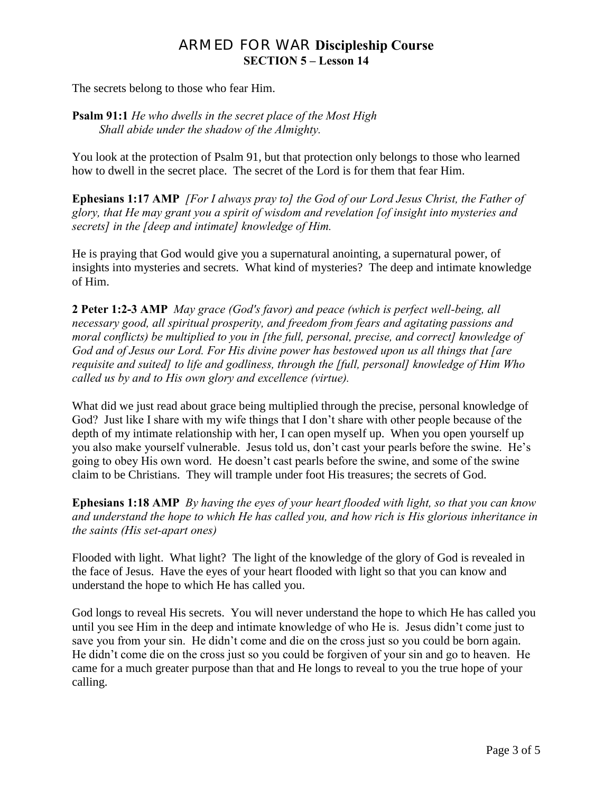The secrets belong to those who fear Him.

**Psalm 91:1** *He who dwells in the secret place of the Most High Shall abide under the shadow of the Almighty.* 

You look at the protection of Psalm 91, but that protection only belongs to those who learned how to dwell in the secret place. The secret of the Lord is for them that fear Him.

**Ephesians 1:17 AMP** *[For I always pray to] the God of our Lord Jesus Christ, the Father of glory, that He may grant you a spirit of wisdom and revelation [of insight into mysteries and secrets] in the [deep and intimate] knowledge of Him.*

He is praying that God would give you a supernatural anointing, a supernatural power, of insights into mysteries and secrets. What kind of mysteries? The deep and intimate knowledge of Him.

**2 Peter 1:2-3 AMP** *May grace (God's favor) and peace (which is perfect well-being, all necessary good, all spiritual prosperity, and freedom from fears and agitating passions and moral conflicts) be multiplied to you in [the full, personal, precise, and correct] knowledge of God and of Jesus our Lord. For His divine power has bestowed upon us all things that [are requisite and suited] to life and godliness, through the [full, personal] knowledge of Him Who called us by and to His own glory and excellence (virtue).* 

What did we just read about grace being multiplied through the precise, personal knowledge of God? Just like I share with my wife things that I don't share with other people because of the depth of my intimate relationship with her, I can open myself up. When you open yourself up you also make yourself vulnerable. Jesus told us, don't cast your pearls before the swine. He's going to obey His own word. He doesn't cast pearls before the swine, and some of the swine claim to be Christians. They will trample under foot His treasures; the secrets of God.

**Ephesians 1:18 AMP** *By having the eyes of your heart flooded with light, so that you can know and understand the hope to which He has called you, and how rich is His glorious inheritance in the saints (His set-apart ones)*

Flooded with light. What light? The light of the knowledge of the glory of God is revealed in the face of Jesus. Have the eyes of your heart flooded with light so that you can know and understand the hope to which He has called you.

God longs to reveal His secrets. You will never understand the hope to which He has called you until you see Him in the deep and intimate knowledge of who He is. Jesus didn't come just to save you from your sin. He didn't come and die on the cross just so you could be born again. He didn't come die on the cross just so you could be forgiven of your sin and go to heaven. He came for a much greater purpose than that and He longs to reveal to you the true hope of your calling.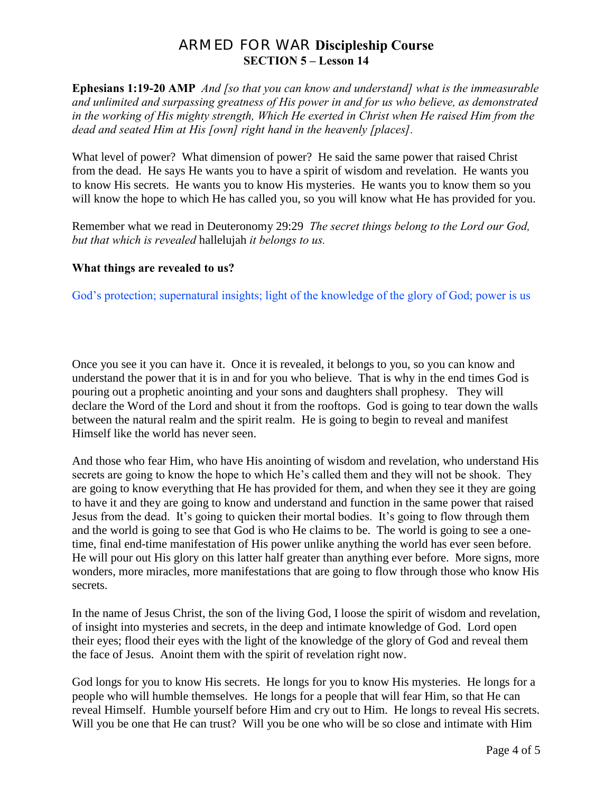**Ephesians 1:19-20 AMP** *And [so that you can know and understand] what is the immeasurable and unlimited and surpassing greatness of His power in and for us who believe, as demonstrated in the working of His mighty strength, Which He exerted in Christ when He raised Him from the dead and seated Him at His [own] right hand in the heavenly [places].*

What level of power? What dimension of power? He said the same power that raised Christ from the dead. He says He wants you to have a spirit of wisdom and revelation. He wants you to know His secrets. He wants you to know His mysteries. He wants you to know them so you will know the hope to which He has called you, so you will know what He has provided for you.

Remember what we read in Deuteronomy 29:29 *The secret things belong to the Lord our God, but that which is revealed* hallelujah *it belongs to us.*

#### **What things are revealed to us?**

God's protection; supernatural insights; light of the knowledge of the glory of God; power is us

Once you see it you can have it. Once it is revealed, it belongs to you, so you can know and understand the power that it is in and for you who believe. That is why in the end times God is pouring out a prophetic anointing and your sons and daughters shall prophesy. They will declare the Word of the Lord and shout it from the rooftops. God is going to tear down the walls between the natural realm and the spirit realm. He is going to begin to reveal and manifest Himself like the world has never seen.

And those who fear Him, who have His anointing of wisdom and revelation, who understand His secrets are going to know the hope to which He's called them and they will not be shook. They are going to know everything that He has provided for them, and when they see it they are going to have it and they are going to know and understand and function in the same power that raised Jesus from the dead. It's going to quicken their mortal bodies. It's going to flow through them and the world is going to see that God is who He claims to be. The world is going to see a onetime, final end-time manifestation of His power unlike anything the world has ever seen before. He will pour out His glory on this latter half greater than anything ever before. More signs, more wonders, more miracles, more manifestations that are going to flow through those who know His secrets.

In the name of Jesus Christ, the son of the living God, I loose the spirit of wisdom and revelation, of insight into mysteries and secrets, in the deep and intimate knowledge of God. Lord open their eyes; flood their eyes with the light of the knowledge of the glory of God and reveal them the face of Jesus. Anoint them with the spirit of revelation right now.

God longs for you to know His secrets. He longs for you to know His mysteries. He longs for a people who will humble themselves. He longs for a people that will fear Him, so that He can reveal Himself. Humble yourself before Him and cry out to Him. He longs to reveal His secrets. Will you be one that He can trust? Will you be one who will be so close and intimate with Him